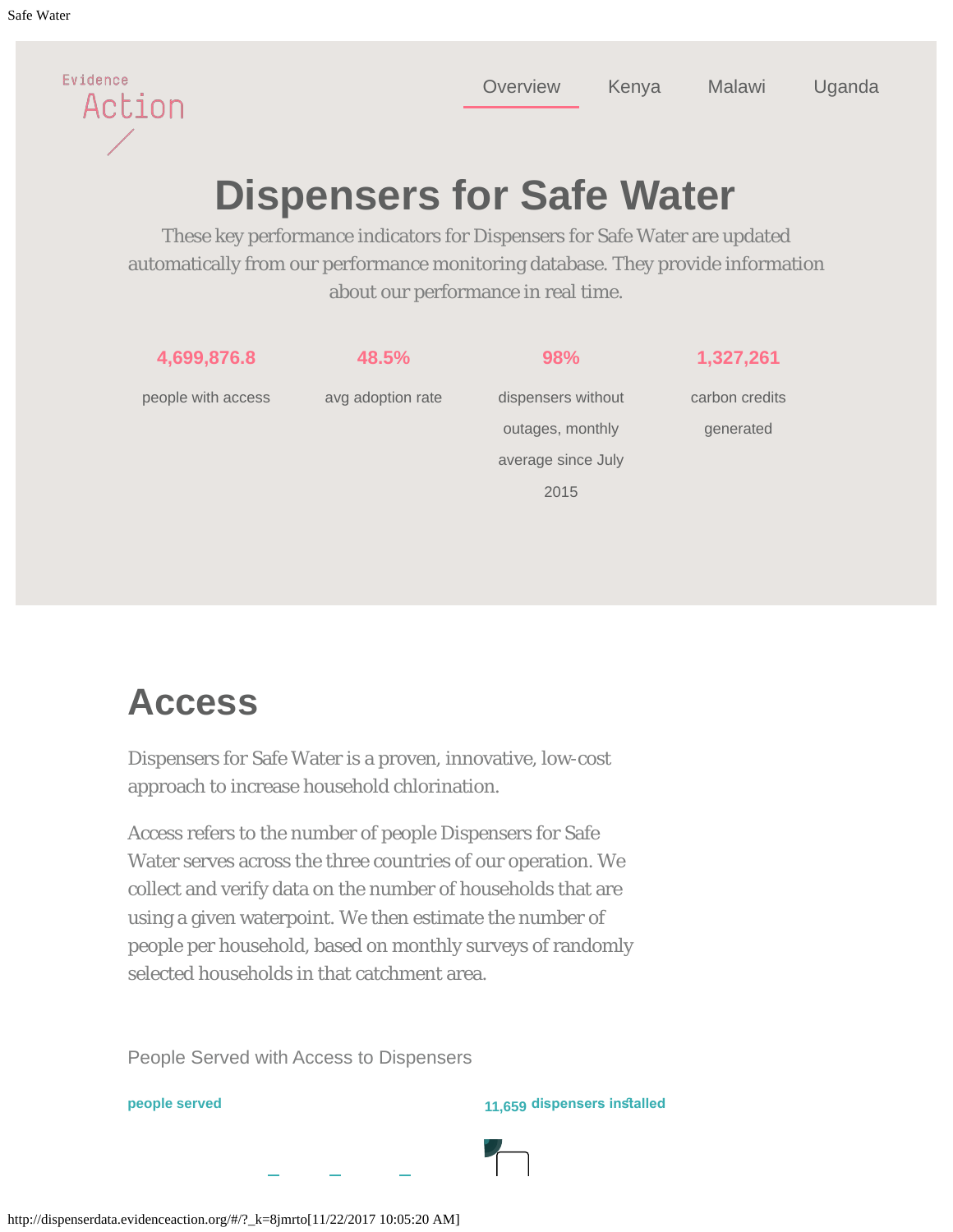<span id="page-0-0"></span>Evidence

Action

[Overview](#page-0-0) [Kenya](#page-0-0) [Malawi](#page-0-0) [Uganda](#page-0-0)

# **Dispensers for Safe Water**

These key performance indicators for Dispensers for Safe Water are updated automatically from our performance monitoring database. They provide information about our performance in real time.



### **Access**

Dispensers for Safe Water is a proven, innovative, low-cost approach to increase household chlorination.

Access refers to the number of people Dispensers for Safe Water serves across the three countries of our operation. We collect and verify data on the number of households that are using a given waterpoint. We then estimate the number of people per household, based on monthly surveys of randomly selected households in that catchment area.

People Served with Access to Dispensers

**people served 11,659 dispensers insalled**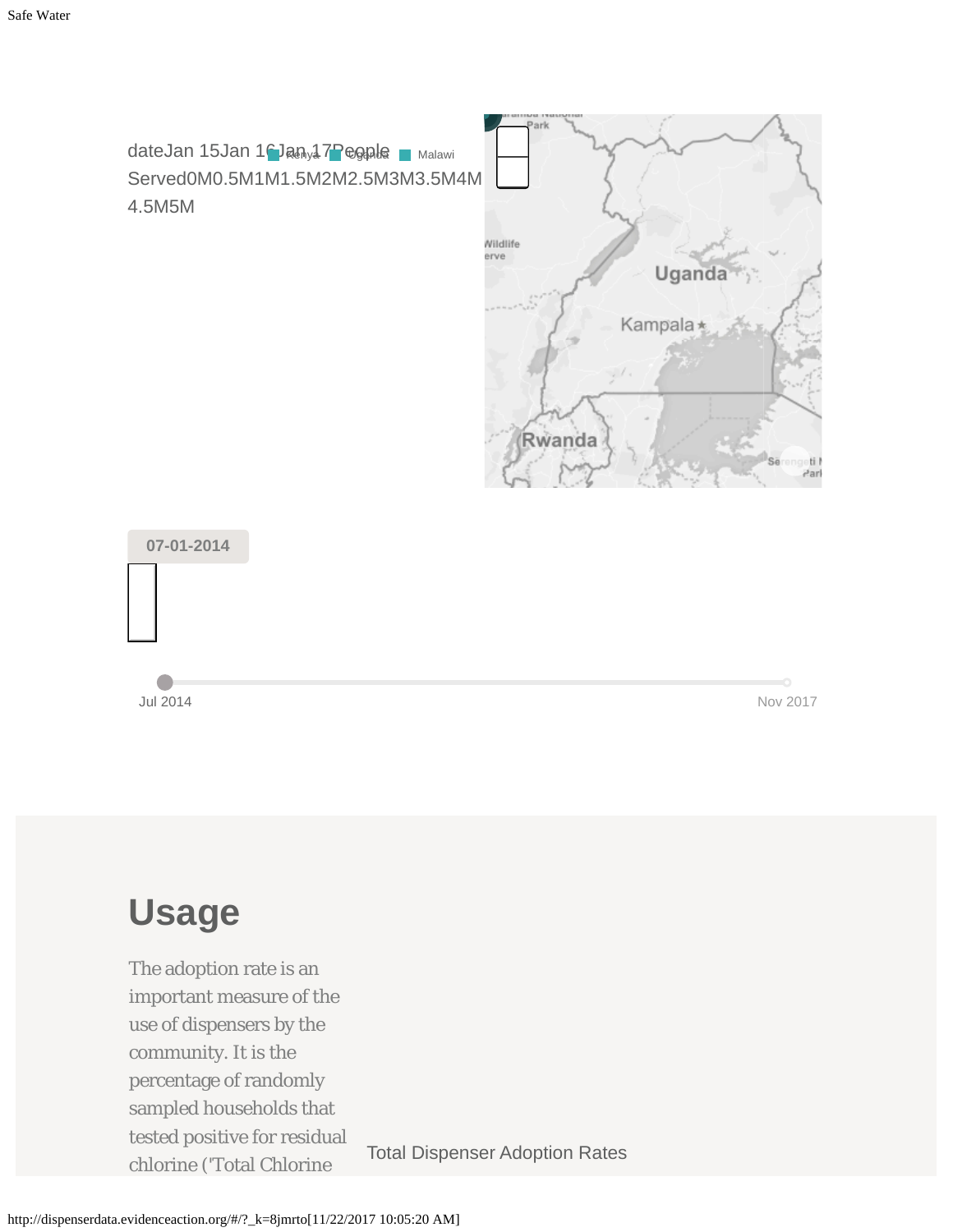



### **Usage**

The adoption rate is an important measure of the use of dispensers by the community. It is the percentage of randomly sampled households that tested positive for residual cocoupostance for normalism<br>Total Dispenser Adoption Rates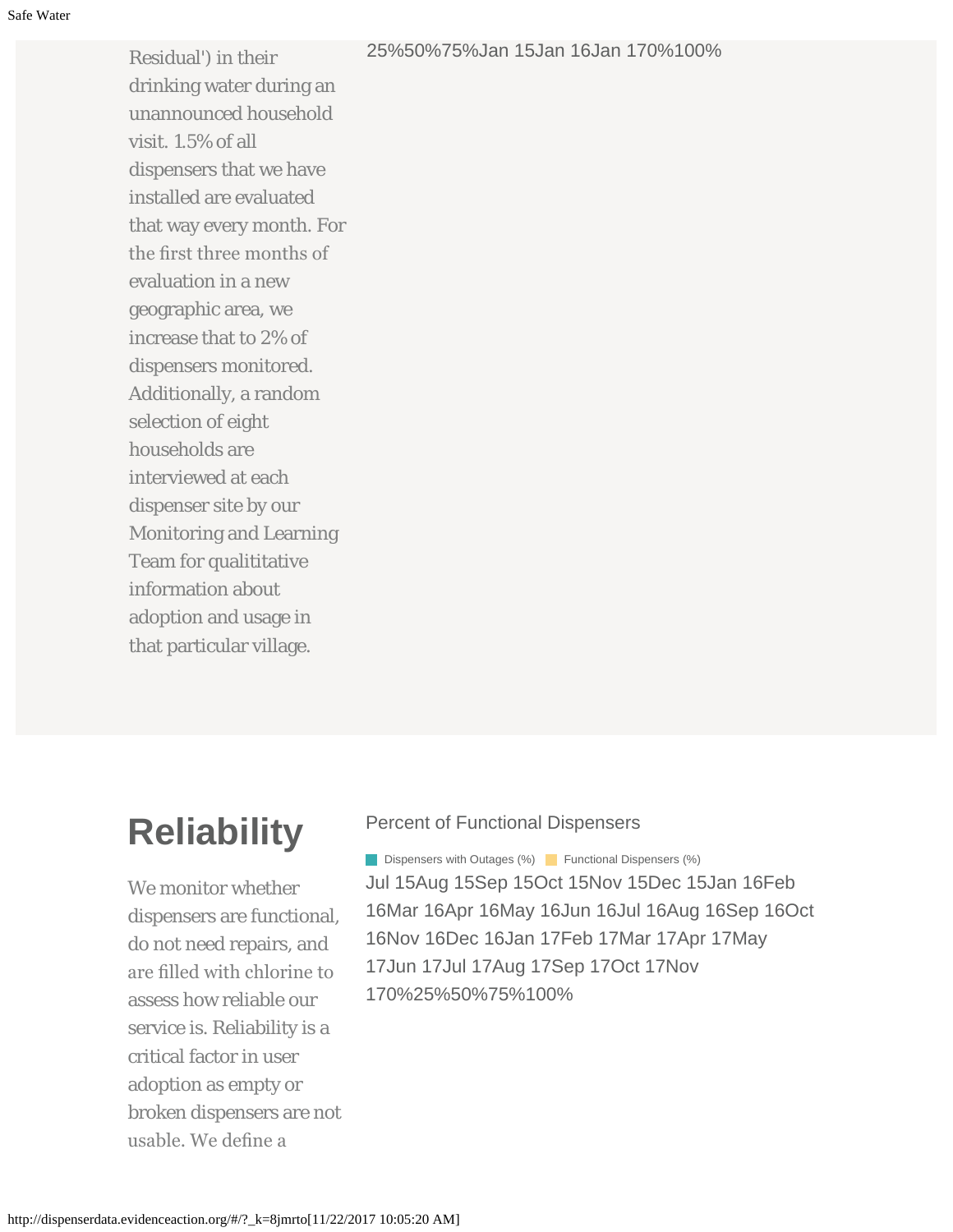#### 25%50%75%Jan 15Jan 16Jan 170%100%

Residual') in their drinking water during an unannounced household visit. 1.5% of all dispensers that we have installed are evaluated that way every month. For the frst three months of evaluation in a new geographic area, we increase that to 2% of dispensers monitored. Additionally, a random selection of eight households are interviewed at each dispenser site by our Monitoring and Learning Team for qualititative information about adoption and usage in that particular village.

### **Reliability**

We monitor whether dispensers are functional, do not need repairs, and are flled with chlorine to assess how reliable our service is. Reliability is a critical factor in user adoption as empty or broken dispensers are not usable. We defne a

#### Percent of Functional Dispensers

Jul 15Aug 15Sep 15Oct 15Nov 15Dec 15Jan 16Feb 16Mar 16Apr 16May 16Jun 16Jul 16Aug 16Sep 16Oct 16Nov 16Dec 16Jan 17Feb 17Mar 17Apr 17May 17Jun 17Jul 17Aug 17Sep 17Oct 17Nov 170%25%50%75%100% **Dispensers with Outages (%)** Functional Dispensers (%)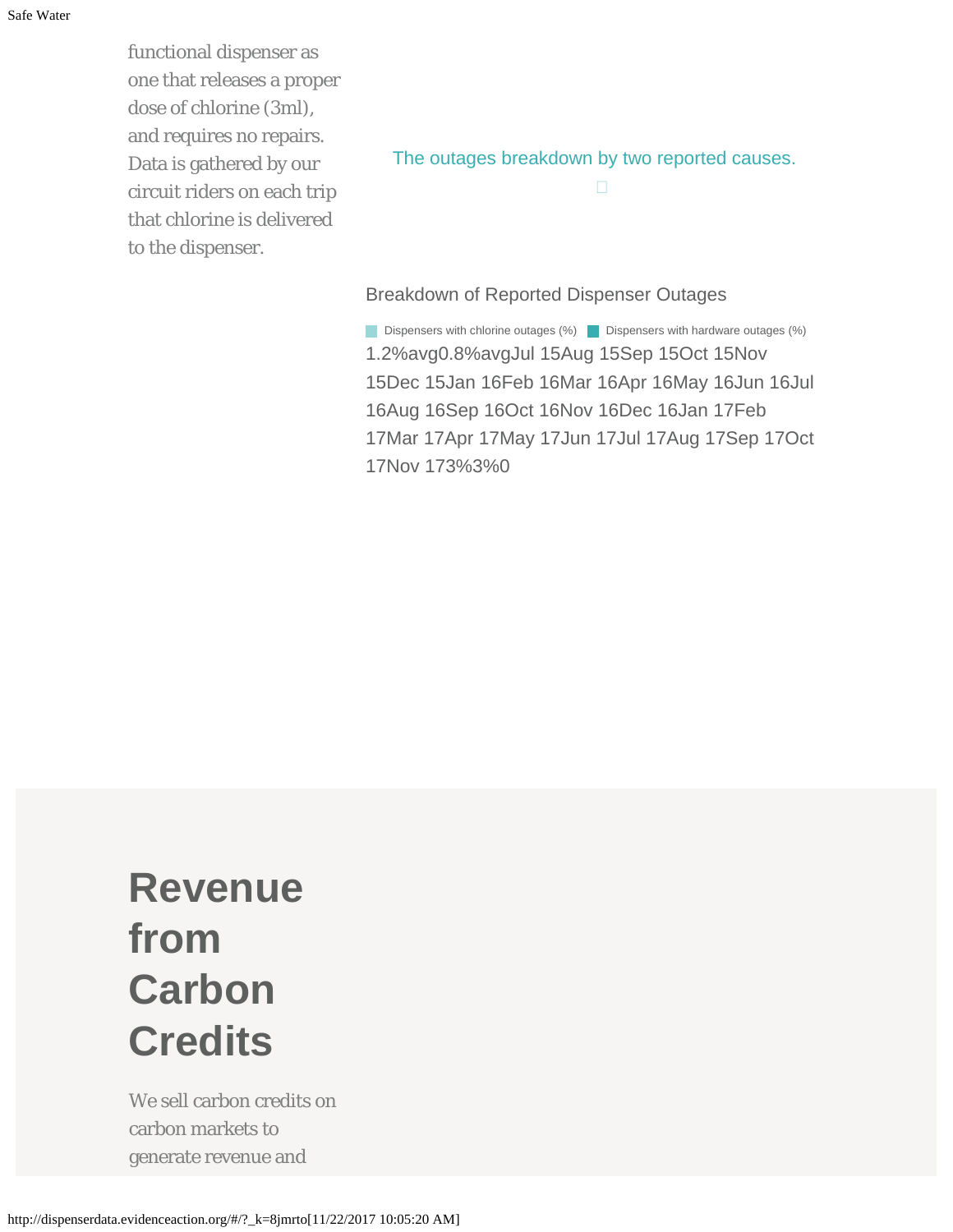functional dispenser as one that releases a proper dose of chlorine (3ml), and requires no repairs. Data is gathered by our circuit riders on each trip that chlorine is delivered to the dispenser.

The outages breakdown by two reported causes.

 $\Box$ 

Breakdown of Reported Dispenser Outages

1.2%avg0.8%avgJul 15Aug 15Sep 15Oct 15Nov 15Dec 15Jan 16Feb 16Mar 16Apr 16May 16Jun 16Jul 16Aug 16Sep 16Oct 16Nov 16Dec 16Jan 17Feb 17Mar 17Apr 17May 17Jun 17Jul 17Aug 17Sep 17Oct 17Nov 173%3%0 Dispensers with chlorine outages (%) **Dispensers with hardware outages (%)** 

## **Revenue from Carbon Credits**

We sell carbon credits on carbon markets to generate revenue and